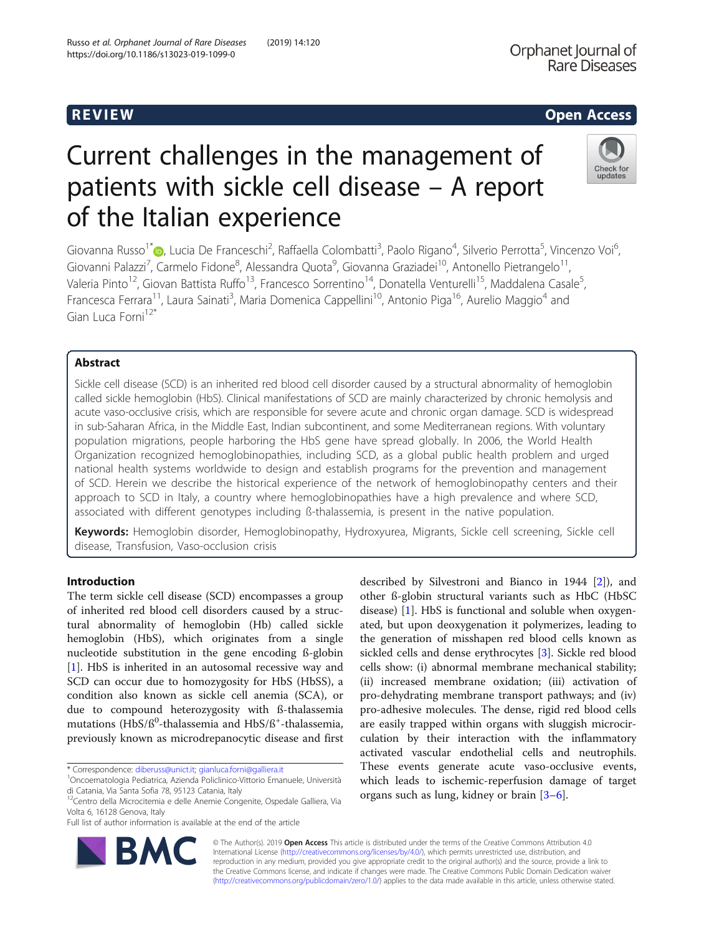# R EVI EW Open Access

Check for updates

# Current challenges in the management of patients with sickle cell disease – A report of the Italian experience

Giovanna Russo<sup>1\*</sup>®[,](http://orcid.org/0000-0001-9369-7473) Lucia De Franceschi<sup>2</sup>, Raffaella Colombatti<sup>3</sup>, Paolo Rigano<sup>4</sup>, Silverio Perrotta<sup>5</sup>, Vincenzo Voi<sup>6</sup> , Giovanni Palazzi<sup>7</sup>, Carmelo Fidone<sup>8</sup>, Alessandra Quota<sup>9</sup>, Giovanna Graziadei<sup>10</sup>, Antonello Pietrangelo<sup>11</sup>, Valeria Pinto<sup>12</sup>, Giovan Battista Ruffo<sup>13</sup>, Francesco Sorrentino<sup>14</sup>, Donatella Venturelli<sup>15</sup>, Maddalena Casale<sup>5</sup>, , Francesca Ferrara<sup>11</sup>, Laura Sainati<sup>3</sup>, Maria Domenica Cappellini<sup>10</sup>, Antonio Piga<sup>16</sup>, Aurelio Maggio<sup>4</sup> and Gian Luca Forni12\*

# Abstract

Sickle cell disease (SCD) is an inherited red blood cell disorder caused by a structural abnormality of hemoglobin called sickle hemoglobin (HbS). Clinical manifestations of SCD are mainly characterized by chronic hemolysis and acute vaso-occlusive crisis, which are responsible for severe acute and chronic organ damage. SCD is widespread in sub-Saharan Africa, in the Middle East, Indian subcontinent, and some Mediterranean regions. With voluntary population migrations, people harboring the HbS gene have spread globally. In 2006, the World Health Organization recognized hemoglobinopathies, including SCD, as a global public health problem and urged national health systems worldwide to design and establish programs for the prevention and management of SCD. Herein we describe the historical experience of the network of hemoglobinopathy centers and their approach to SCD in Italy, a country where hemoglobinopathies have a high prevalence and where SCD, associated with different genotypes including ß-thalassemia, is present in the native population.

Keywords: Hemoglobin disorder, Hemoglobinopathy, Hydroxyurea, Migrants, Sickle cell screening, Sickle cell disease, Transfusion, Vaso-occlusion crisis

# Introduction

The term sickle cell disease (SCD) encompasses a group of inherited red blood cell disorders caused by a structural abnormality of hemoglobin (Hb) called sickle hemoglobin (HbS), which originates from a single nucleotide substitution in the gene encoding ß-globin [[1\]](#page-6-0). HbS is inherited in an autosomal recessive way and SCD can occur due to homozygosity for HbS (HbSS), a condition also known as sickle cell anemia (SCA), or due to compound heterozygosity with ß-thalassemia mutations (HbS/ß<sup>0</sup>-thalassemia and HbS/ß<sup>+</sup>-thalassemia, previously known as microdrepanocytic disease and first

\* Correspondence: [diberuss@unict.it;](mailto:diberuss@unict.it) [gianluca.forni@galliera.it](mailto:gianluca.forni@galliera.it) <sup>1</sup>

RA



© The Author(s). 2019 **Open Access** This article is distributed under the terms of the Creative Commons Attribution 4.0 International License [\(http://creativecommons.org/licenses/by/4.0/](http://creativecommons.org/licenses/by/4.0/)), which permits unrestricted use, distribution, and reproduction in any medium, provided you give appropriate credit to the original author(s) and the source, provide a link to the Creative Commons license, and indicate if changes were made. The Creative Commons Public Domain Dedication waiver [\(http://creativecommons.org/publicdomain/zero/1.0/](http://creativecommons.org/publicdomain/zero/1.0/)) applies to the data made available in this article, unless otherwise stated.

Oncoematologia Pediatrica, Azienda Policlinico-Vittorio Emanuele, Università di Catania, Via Santa Sofia 78, 95123 Catania, Italy

<sup>&</sup>lt;sup>12</sup>Centro della Microcitemia e delle Anemie Congenite, Ospedale Galliera, Via Volta 6, 16128 Genova, Italy

Full list of author information is available at the end of the article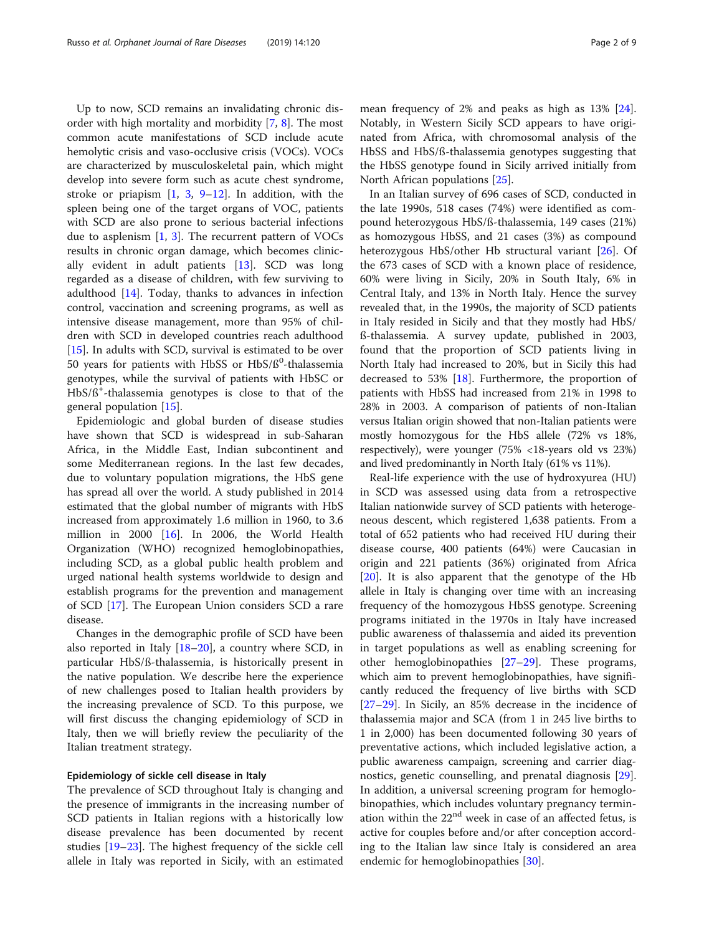Up to now, SCD remains an invalidating chronic disorder with high mortality and morbidity [[7,](#page-6-0) [8\]](#page-6-0). The most common acute manifestations of SCD include acute hemolytic crisis and vaso-occlusive crisis (VOCs). VOCs are characterized by musculoskeletal pain, which might develop into severe form such as acute chest syndrome, stroke or priapism  $\begin{bmatrix} 1, 3, 9-12 \end{bmatrix}$  $\begin{bmatrix} 1, 3, 9-12 \end{bmatrix}$  $\begin{bmatrix} 1, 3, 9-12 \end{bmatrix}$  $\begin{bmatrix} 1, 3, 9-12 \end{bmatrix}$  $\begin{bmatrix} 1, 3, 9-12 \end{bmatrix}$  $\begin{bmatrix} 1, 3, 9-12 \end{bmatrix}$  $\begin{bmatrix} 1, 3, 9-12 \end{bmatrix}$ . In addition, with the spleen being one of the target organs of VOC, patients with SCD are also prone to serious bacterial infections due to asplenism [[1](#page-6-0), [3](#page-6-0)]. The recurrent pattern of VOCs results in chronic organ damage, which becomes clinically evident in adult patients [\[13](#page-6-0)]. SCD was long regarded as a disease of children, with few surviving to adulthood [[14](#page-6-0)]. Today, thanks to advances in infection control, vaccination and screening programs, as well as intensive disease management, more than 95% of children with SCD in developed countries reach adulthood [[15\]](#page-6-0). In adults with SCD, survival is estimated to be over 50 years for patients with HbSS or HbS/ß<sup>0</sup>-thalassemia genotypes, while the survival of patients with HbSC or HbS/ß<sup>+</sup> -thalassemia genotypes is close to that of the general population [\[15](#page-6-0)].

Epidemiologic and global burden of disease studies have shown that SCD is widespread in sub-Saharan Africa, in the Middle East, Indian subcontinent and some Mediterranean regions. In the last few decades, due to voluntary population migrations, the HbS gene has spread all over the world. A study published in 2014 estimated that the global number of migrants with HbS increased from approximately 1.6 million in 1960, to 3.6 million in 2000 [[16](#page-6-0)]. In 2006, the World Health Organization (WHO) recognized hemoglobinopathies, including SCD, as a global public health problem and urged national health systems worldwide to design and establish programs for the prevention and management of SCD [\[17](#page-6-0)]. The European Union considers SCD a rare disease.

Changes in the demographic profile of SCD have been also reported in Italy [\[18](#page-6-0)–[20](#page-6-0)], a country where SCD, in particular HbS/ß-thalassemia, is historically present in the native population. We describe here the experience of new challenges posed to Italian health providers by the increasing prevalence of SCD. To this purpose, we will first discuss the changing epidemiology of SCD in Italy, then we will briefly review the peculiarity of the Italian treatment strategy.

## Epidemiology of sickle cell disease in Italy

The prevalence of SCD throughout Italy is changing and the presence of immigrants in the increasing number of SCD patients in Italian regions with a historically low disease prevalence has been documented by recent studies [[19](#page-6-0)–[23](#page-6-0)]. The highest frequency of the sickle cell allele in Italy was reported in Sicily, with an estimated

mean frequency of 2% and peaks as high as 13% [\[24](#page-6-0)]. Notably, in Western Sicily SCD appears to have originated from Africa, with chromosomal analysis of the HbSS and HbS/ß-thalassemia genotypes suggesting that the HbSS genotype found in Sicily arrived initially from North African populations [[25](#page-6-0)].

In an Italian survey of 696 cases of SCD, conducted in the late 1990s, 518 cases (74%) were identified as compound heterozygous HbS/ß-thalassemia, 149 cases (21%) as homozygous HbSS, and 21 cases (3%) as compound heterozygous HbS/other Hb structural variant [\[26](#page-6-0)]. Of the 673 cases of SCD with a known place of residence, 60% were living in Sicily, 20% in South Italy, 6% in Central Italy, and 13% in North Italy. Hence the survey revealed that, in the 1990s, the majority of SCD patients in Italy resided in Sicily and that they mostly had HbS/ ß-thalassemia. A survey update, published in 2003, found that the proportion of SCD patients living in North Italy had increased to 20%, but in Sicily this had decreased to 53%  $[18]$  $[18]$ . Furthermore, the proportion of patients with HbSS had increased from 21% in 1998 to 28% in 2003. A comparison of patients of non-Italian versus Italian origin showed that non-Italian patients were mostly homozygous for the HbS allele (72% vs 18%, respectively), were younger (75% <18-years old vs 23%) and lived predominantly in North Italy (61% vs 11%).

Real-life experience with the use of hydroxyurea (HU) in SCD was assessed using data from a retrospective Italian nationwide survey of SCD patients with heterogeneous descent, which registered 1,638 patients. From a total of 652 patients who had received HU during their disease course, 400 patients (64%) were Caucasian in origin and 221 patients (36%) originated from Africa [[20\]](#page-6-0). It is also apparent that the genotype of the Hb allele in Italy is changing over time with an increasing frequency of the homozygous HbSS genotype. Screening programs initiated in the 1970s in Italy have increased public awareness of thalassemia and aided its prevention in target populations as well as enabling screening for other hemoglobinopathies [\[27](#page-6-0)–[29\]](#page-6-0). These programs, which aim to prevent hemoglobinopathies, have significantly reduced the frequency of live births with SCD [[27](#page-6-0)–[29](#page-6-0)]. In Sicily, an 85% decrease in the incidence of thalassemia major and SCA (from 1 in 245 live births to 1 in 2,000) has been documented following 30 years of preventative actions, which included legislative action, a public awareness campaign, screening and carrier diagnostics, genetic counselling, and prenatal diagnosis [\[29](#page-6-0)]. In addition, a universal screening program for hemoglobinopathies, which includes voluntary pregnancy termination within the 22<sup>nd</sup> week in case of an affected fetus, is active for couples before and/or after conception according to the Italian law since Italy is considered an area endemic for hemoglobinopathies [\[30](#page-6-0)].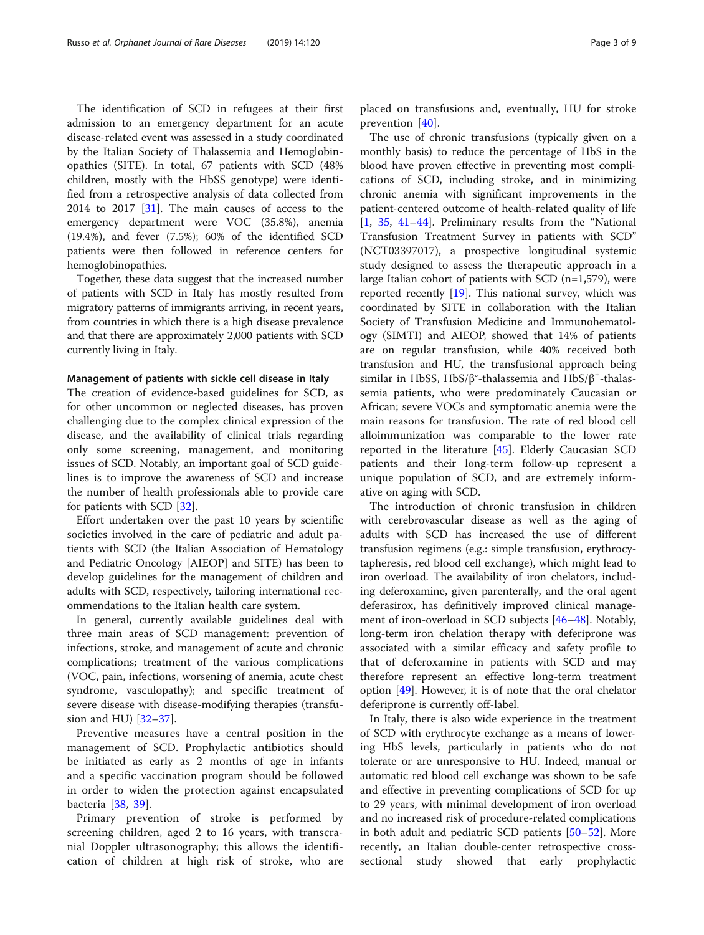The identification of SCD in refugees at their first admission to an emergency department for an acute disease-related event was assessed in a study coordinated by the Italian Society of Thalassemia and Hemoglobinopathies (SITE). In total, 67 patients with SCD (48% children, mostly with the HbSS genotype) were identified from a retrospective analysis of data collected from 2014 to 2017 [[31](#page-6-0)]. The main causes of access to the emergency department were VOC (35.8%), anemia (19.4%), and fever (7.5%); 60% of the identified SCD patients were then followed in reference centers for hemoglobinopathies.

Together, these data suggest that the increased number of patients with SCD in Italy has mostly resulted from migratory patterns of immigrants arriving, in recent years, from countries in which there is a high disease prevalence and that there are approximately 2,000 patients with SCD currently living in Italy.

## Management of patients with sickle cell disease in Italy

The creation of evidence-based guidelines for SCD, as for other uncommon or neglected diseases, has proven challenging due to the complex clinical expression of the disease, and the availability of clinical trials regarding only some screening, management, and monitoring issues of SCD. Notably, an important goal of SCD guidelines is to improve the awareness of SCD and increase the number of health professionals able to provide care for patients with SCD [\[32](#page-6-0)].

Effort undertaken over the past 10 years by scientific societies involved in the care of pediatric and adult patients with SCD (the Italian Association of Hematology and Pediatric Oncology [AIEOP] and SITE) has been to develop guidelines for the management of children and adults with SCD, respectively, tailoring international recommendations to the Italian health care system.

In general, currently available guidelines deal with three main areas of SCD management: prevention of infections, stroke, and management of acute and chronic complications; treatment of the various complications (VOC, pain, infections, worsening of anemia, acute chest syndrome, vasculopathy); and specific treatment of severe disease with disease-modifying therapies (transfusion and HU) [[32](#page-6-0)–[37](#page-6-0)].

Preventive measures have a central position in the management of SCD. Prophylactic antibiotics should be initiated as early as 2 months of age in infants and a specific vaccination program should be followed in order to widen the protection against encapsulated bacteria [[38,](#page-6-0) [39\]](#page-6-0).

Primary prevention of stroke is performed by screening children, aged 2 to 16 years, with transcranial Doppler ultrasonography; this allows the identification of children at high risk of stroke, who are

placed on transfusions and, eventually, HU for stroke prevention [[40\]](#page-6-0).

The use of chronic transfusions (typically given on a monthly basis) to reduce the percentage of HbS in the blood have proven effective in preventing most complications of SCD, including stroke, and in minimizing chronic anemia with significant improvements in the patient-centered outcome of health-related quality of life [[1,](#page-6-0) [35,](#page-6-0) [41](#page-6-0)–[44\]](#page-7-0). Preliminary results from the "National Transfusion Treatment Survey in patients with SCD" (NCT03397017), a prospective longitudinal systemic study designed to assess the therapeutic approach in a large Italian cohort of patients with SCD (n=1,579), were reported recently [[19](#page-6-0)]. This national survey, which was coordinated by SITE in collaboration with the Italian Society of Transfusion Medicine and Immunohematology (SIMTI) and AIEOP, showed that 14% of patients are on regular transfusion, while 40% received both transfusion and HU, the transfusional approach being similar in HbSS, HbS/β°-thalassemia and HbS/β<sup>+</sup>-thalassemia patients, who were predominately Caucasian or African; severe VOCs and symptomatic anemia were the main reasons for transfusion. The rate of red blood cell alloimmunization was comparable to the lower rate reported in the literature [\[45](#page-7-0)]. Elderly Caucasian SCD patients and their long-term follow-up represent a unique population of SCD, and are extremely informative on aging with SCD.

The introduction of chronic transfusion in children with cerebrovascular disease as well as the aging of adults with SCD has increased the use of different transfusion regimens (e.g.: simple transfusion, erythrocytapheresis, red blood cell exchange), which might lead to iron overload. The availability of iron chelators, including deferoxamine, given parenterally, and the oral agent deferasirox, has definitively improved clinical management of iron-overload in SCD subjects [\[46](#page-7-0)–[48\]](#page-7-0). Notably, long-term iron chelation therapy with deferiprone was associated with a similar efficacy and safety profile to that of deferoxamine in patients with SCD and may therefore represent an effective long-term treatment option [[49\]](#page-7-0). However, it is of note that the oral chelator deferiprone is currently off-label.

In Italy, there is also wide experience in the treatment of SCD with erythrocyte exchange as a means of lowering HbS levels, particularly in patients who do not tolerate or are unresponsive to HU. Indeed, manual or automatic red blood cell exchange was shown to be safe and effective in preventing complications of SCD for up to 29 years, with minimal development of iron overload and no increased risk of procedure-related complications in both adult and pediatric SCD patients [[50](#page-7-0)–[52](#page-7-0)]. More recently, an Italian double-center retrospective crosssectional study showed that early prophylactic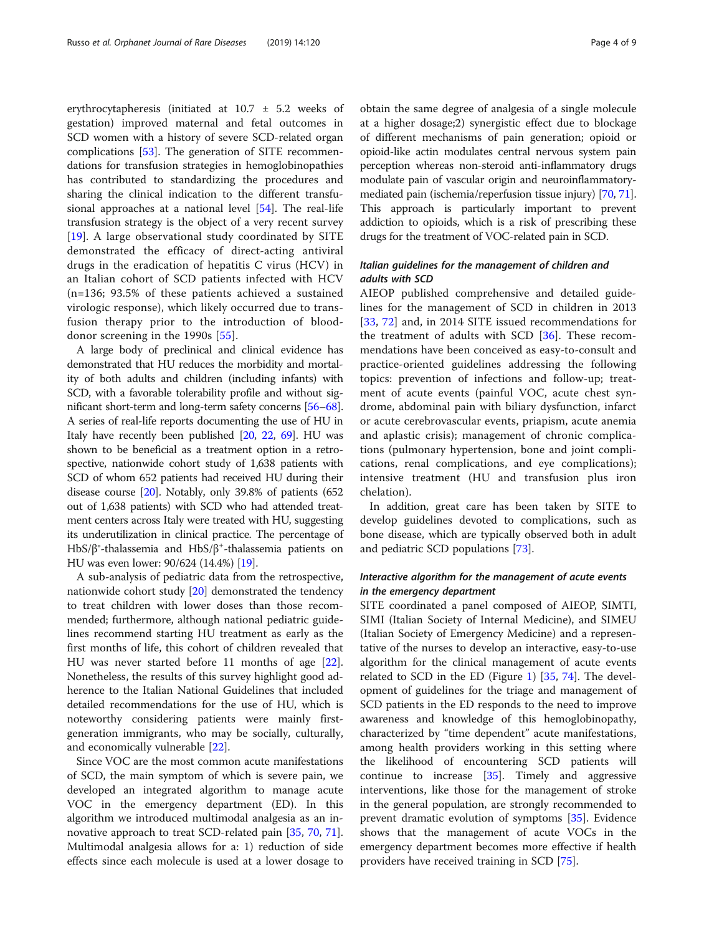erythrocytapheresis (initiated at 10.7 ± 5.2 weeks of gestation) improved maternal and fetal outcomes in SCD women with a history of severe SCD-related organ complications [[53](#page-7-0)]. The generation of SITE recommendations for transfusion strategies in hemoglobinopathies has contributed to standardizing the procedures and sharing the clinical indication to the different transfusional approaches at a national level [\[54](#page-7-0)]. The real-life transfusion strategy is the object of a very recent survey [[19\]](#page-6-0). A large observational study coordinated by SITE demonstrated the efficacy of direct-acting antiviral drugs in the eradication of hepatitis C virus (HCV) in an Italian cohort of SCD patients infected with HCV (n=136; 93.5% of these patients achieved a sustained virologic response), which likely occurred due to transfusion therapy prior to the introduction of blooddonor screening in the 1990s [[55\]](#page-7-0).

A large body of preclinical and clinical evidence has demonstrated that HU reduces the morbidity and mortality of both adults and children (including infants) with SCD, with a favorable tolerability profile and without significant short-term and long-term safety concerns [\[56](#page-7-0)–[68](#page-7-0)]. A series of real-life reports documenting the use of HU in Italy have recently been published [[20](#page-6-0), [22](#page-6-0), [69](#page-7-0)]. HU was shown to be beneficial as a treatment option in a retrospective, nationwide cohort study of 1,638 patients with SCD of whom 652 patients had received HU during their disease course [[20](#page-6-0)]. Notably, only 39.8% of patients (652 out of 1,638 patients) with SCD who had attended treatment centers across Italy were treated with HU, suggesting its underutilization in clinical practice. The percentage of HbS/β°-thalassemia and HbS/β<sup>+</sup>-thalassemia patients on HU was even lower: 90/624 (14.4%) [[19](#page-6-0)].

A sub-analysis of pediatric data from the retrospective, nationwide cohort study [[20\]](#page-6-0) demonstrated the tendency to treat children with lower doses than those recommended; furthermore, although national pediatric guidelines recommend starting HU treatment as early as the first months of life, this cohort of children revealed that HU was never started before 11 months of age [\[22](#page-6-0)]. Nonetheless, the results of this survey highlight good adherence to the Italian National Guidelines that included detailed recommendations for the use of HU, which is noteworthy considering patients were mainly firstgeneration immigrants, who may be socially, culturally, and economically vulnerable [[22](#page-6-0)].

Since VOC are the most common acute manifestations of SCD, the main symptom of which is severe pain, we developed an integrated algorithm to manage acute VOC in the emergency department (ED). In this algorithm we introduced multimodal analgesia as an innovative approach to treat SCD-related pain [\[35](#page-6-0), [70](#page-7-0), [71](#page-7-0)]. Multimodal analgesia allows for a: 1) reduction of side effects since each molecule is used at a lower dosage to

obtain the same degree of analgesia of a single molecule at a higher dosage;2) synergistic effect due to blockage of different mechanisms of pain generation; opioid or opioid-like actin modulates central nervous system pain perception whereas non-steroid anti-inflammatory drugs modulate pain of vascular origin and neuroinflammatorymediated pain (ischemia/reperfusion tissue injury) [\[70](#page-7-0), [71](#page-7-0)]. This approach is particularly important to prevent addiction to opioids, which is a risk of prescribing these drugs for the treatment of VOC-related pain in SCD.

# Italian guidelines for the management of children and adults with SCD

AIEOP published comprehensive and detailed guidelines for the management of SCD in children in 2013 [[33,](#page-6-0) [72\]](#page-7-0) and, in 2014 SITE issued recommendations for the treatment of adults with SCD [\[36](#page-6-0)]. These recommendations have been conceived as easy-to-consult and practice-oriented guidelines addressing the following topics: prevention of infections and follow-up; treatment of acute events (painful VOC, acute chest syndrome, abdominal pain with biliary dysfunction, infarct or acute cerebrovascular events, priapism, acute anemia and aplastic crisis); management of chronic complications (pulmonary hypertension, bone and joint complications, renal complications, and eye complications); intensive treatment (HU and transfusion plus iron chelation).

In addition, great care has been taken by SITE to develop guidelines devoted to complications, such as bone disease, which are typically observed both in adult and pediatric SCD populations [[73\]](#page-7-0).

# Interactive algorithm for the management of acute events in the emergency department

SITE coordinated a panel composed of AIEOP, SIMTI, SIMI (Italian Society of Internal Medicine), and SIMEU (Italian Society of Emergency Medicine) and a representative of the nurses to develop an interactive, easy-to-use algorithm for the clinical management of acute events related to SCD in the ED (Figure [1\)](#page-4-0) [\[35](#page-6-0), [74\]](#page-7-0). The development of guidelines for the triage and management of SCD patients in the ED responds to the need to improve awareness and knowledge of this hemoglobinopathy, characterized by "time dependent" acute manifestations, among health providers working in this setting where the likelihood of encountering SCD patients will continue to increase [[35\]](#page-6-0). Timely and aggressive interventions, like those for the management of stroke in the general population, are strongly recommended to prevent dramatic evolution of symptoms [\[35](#page-6-0)]. Evidence shows that the management of acute VOCs in the emergency department becomes more effective if health providers have received training in SCD [[75](#page-7-0)].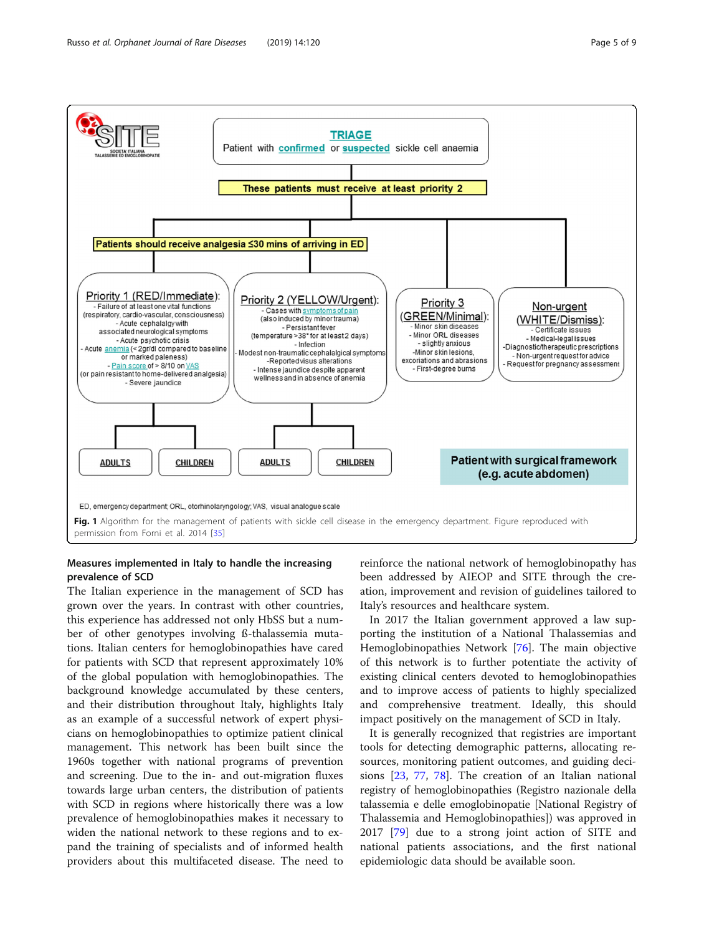<span id="page-4-0"></span>

# Measures implemented in Italy to handle the increasing prevalence of SCD

The Italian experience in the management of SCD has grown over the years. In contrast with other countries, this experience has addressed not only HbSS but a number of other genotypes involving ß-thalassemia mutations. Italian centers for hemoglobinopathies have cared for patients with SCD that represent approximately 10% of the global population with hemoglobinopathies. The background knowledge accumulated by these centers, and their distribution throughout Italy, highlights Italy as an example of a successful network of expert physicians on hemoglobinopathies to optimize patient clinical management. This network has been built since the 1960s together with national programs of prevention and screening. Due to the in- and out-migration fluxes towards large urban centers, the distribution of patients with SCD in regions where historically there was a low prevalence of hemoglobinopathies makes it necessary to widen the national network to these regions and to expand the training of specialists and of informed health providers about this multifaceted disease. The need to reinforce the national network of hemoglobinopathy has been addressed by AIEOP and SITE through the creation, improvement and revision of guidelines tailored to Italy's resources and healthcare system.

In 2017 the Italian government approved a law supporting the institution of a National Thalassemias and Hemoglobinopathies Network [\[76\]](#page-7-0). The main objective of this network is to further potentiate the activity of existing clinical centers devoted to hemoglobinopathies and to improve access of patients to highly specialized and comprehensive treatment. Ideally, this should impact positively on the management of SCD in Italy.

It is generally recognized that registries are important tools for detecting demographic patterns, allocating resources, monitoring patient outcomes, and guiding decisions [[23](#page-6-0), [77](#page-7-0), [78](#page-7-0)]. The creation of an Italian national registry of hemoglobinopathies (Registro nazionale della talassemia e delle emoglobinopatie [National Registry of Thalassemia and Hemoglobinopathies]) was approved in 2017 [\[79](#page-7-0)] due to a strong joint action of SITE and national patients associations, and the first national epidemiologic data should be available soon.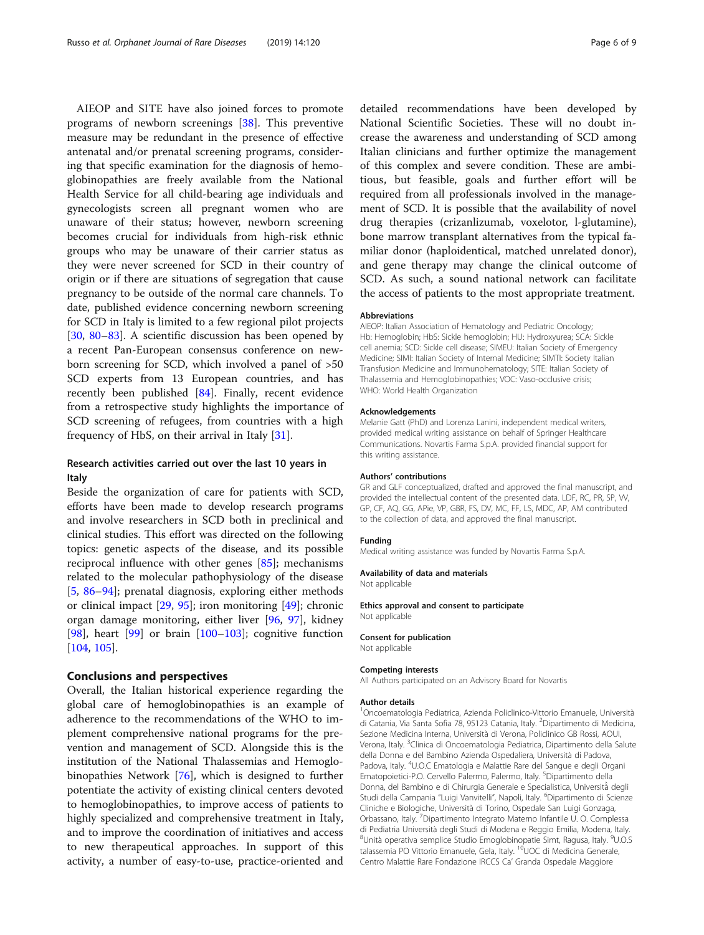AIEOP and SITE have also joined forces to promote programs of newborn screenings [\[38\]](#page-6-0). This preventive measure may be redundant in the presence of effective antenatal and/or prenatal screening programs, considering that specific examination for the diagnosis of hemoglobinopathies are freely available from the National Health Service for all child-bearing age individuals and gynecologists screen all pregnant women who are unaware of their status; however, newborn screening becomes crucial for individuals from high-risk ethnic groups who may be unaware of their carrier status as they were never screened for SCD in their country of origin or if there are situations of segregation that cause pregnancy to be outside of the normal care channels. To date, published evidence concerning newborn screening for SCD in Italy is limited to a few regional pilot projects [[30,](#page-6-0) [80](#page-7-0)–[83](#page-8-0)]. A scientific discussion has been opened by a recent Pan-European consensus conference on newborn screening for SCD, which involved a panel of >50 SCD experts from 13 European countries, and has recently been published [\[84](#page-8-0)]. Finally, recent evidence from a retrospective study highlights the importance of SCD screening of refugees, from countries with a high frequency of HbS, on their arrival in Italy [[31](#page-6-0)].

# Research activities carried out over the last 10 years in Italy

Beside the organization of care for patients with SCD, efforts have been made to develop research programs and involve researchers in SCD both in preclinical and clinical studies. This effort was directed on the following topics: genetic aspects of the disease, and its possible reciprocal influence with other genes [[85\]](#page-8-0); mechanisms related to the molecular pathophysiology of the disease [[5,](#page-6-0) [86](#page-8-0)–[94](#page-8-0)]; prenatal diagnosis, exploring either methods or clinical impact [\[29](#page-6-0), [95](#page-8-0)]; iron monitoring [\[49](#page-7-0)]; chronic organ damage monitoring, either liver [\[96](#page-8-0), [97\]](#page-8-0), kidney [[98\]](#page-8-0), heart  $[99]$  $[99]$  or brain  $[100-103]$  $[100-103]$  $[100-103]$ ; cognitive function [[104,](#page-8-0) [105](#page-8-0)].

## Conclusions and perspectives

Overall, the Italian historical experience regarding the global care of hemoglobinopathies is an example of adherence to the recommendations of the WHO to implement comprehensive national programs for the prevention and management of SCD. Alongside this is the institution of the National Thalassemias and Hemoglobinopathies Network [[76\]](#page-7-0), which is designed to further potentiate the activity of existing clinical centers devoted to hemoglobinopathies, to improve access of patients to highly specialized and comprehensive treatment in Italy, and to improve the coordination of initiatives and access to new therapeutical approaches. In support of this activity, a number of easy-to-use, practice-oriented and

detailed recommendations have been developed by National Scientific Societies. These will no doubt increase the awareness and understanding of SCD among Italian clinicians and further optimize the management of this complex and severe condition. These are ambitious, but feasible, goals and further effort will be required from all professionals involved in the management of SCD. It is possible that the availability of novel drug therapies (crizanlizumab, voxelotor, l-glutamine), bone marrow transplant alternatives from the typical familiar donor (haploidentical, matched unrelated donor), and gene therapy may change the clinical outcome of SCD. As such, a sound national network can facilitate the access of patients to the most appropriate treatment.

#### Abbreviations

AIEOP: Italian Association of Hematology and Pediatric Oncology; Hb: Hemoglobin; HbS: Sickle hemoglobin; HU: Hydroxyurea; SCA: Sickle cell anemia; SCD: Sickle cell disease; SIMEU: Italian Society of Emergency Medicine; SIMI: Italian Society of Internal Medicine; SIMTI: Society Italian Transfusion Medicine and Immunohematology; SITE: Italian Society of Thalassemia and Hemoglobinopathies; VOC: Vaso-occlusive crisis; WHO: World Health Organization

## Acknowledgements

Melanie Gatt (PhD) and Lorenza Lanini, independent medical writers, provided medical writing assistance on behalf of Springer Healthcare Communications. Novartis Farma S.p.A. provided financial support for this writing assistance.

## Authors' contributions

GR and GLF conceptualized, drafted and approved the final manuscript, and provided the intellectual content of the presented data. LDF, RC, PR, SP, VV, GP, CF, AQ, GG, APie, VP, GBR, FS, DV, MC, FF, LS, MDC, AP, AM contributed to the collection of data, and approved the final manuscript.

#### Funding

Medical writing assistance was funded by Novartis Farma S.p.A.

#### Availability of data and materials

Not applicable

Ethics approval and consent to participate Not applicable

#### Consent for publication

Not applicable

#### Competing interests

All Authors participated on an Advisory Board for Novartis

#### Author details

1 Oncoematologia Pediatrica, Azienda Policlinico-Vittorio Emanuele, Università di Catania, Via Santa Sofia 78, 95123 Catania, Italy. <sup>2</sup>Dipartimento di Medicina, Sezione Medicina Interna, Università di Verona, Policlinico GB Rossi, AOUI, Verona, Italy. <sup>3</sup>Clinica di Oncoematologia Pediatrica, Dipartimento della Salute della Donna e del Bambino Azienda Ospedaliera, Università di Padova, Padova, Italy. <sup>4</sup>U.O.C Ematologia e Malattie Rare del Sangue e degli Organi Ematopoietici-P.O. Cervello Palermo, Palermo, Italy. <sup>5</sup>Dipartimento della Donna, del Bambino e di Chirurgia Generale e Specialistica, Università̀ degli Studi della Campania "Luigi Vanvitelli", Napoli, Italy. <sup>6</sup>Dipartimento di Scienze Cliniche e Biologiche, Università di Torino, Ospedale San Luigi Gonzaga, Orbassano, Italy. <sup>7</sup> Dipartimento Integrato Materno Infantile U. O. Complessa di Pediatria Università degli Studi di Modena e Reggio Emilia, Modena, Italy. <sup>8</sup>Unità operativa semplice Studio Emoglobinopatie Simt, Ragusa, Italy. <sup>9</sup>U.O.S talassemia PO Vittorio Emanuele, Gela, Italy. <sup>10</sup>UOC di Medicina Generale, Centro Malattie Rare Fondazione IRCCS Ca' Granda Ospedale Maggiore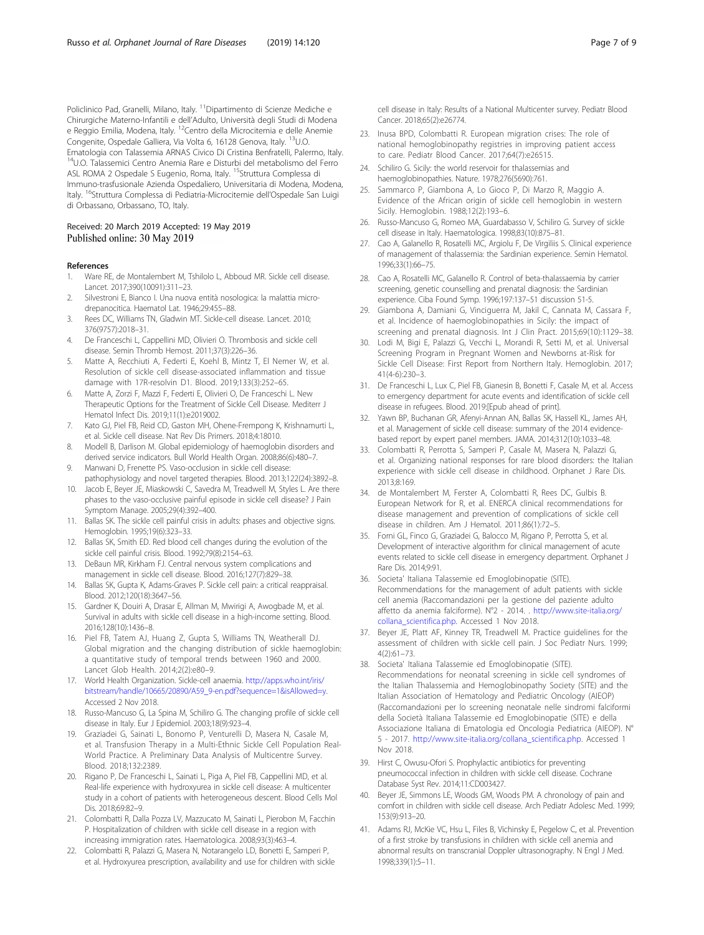<span id="page-6-0"></span>Policlinico Pad, Granelli, Milano, Italy. <sup>11</sup>Dipartimento di Scienze Mediche e Chirurgiche Materno-Infantili e dell'Adulto, Università degli Studi di Modena e Reggio Emilia, Modena, Italy. 12Centro della Microcitemia e delle Anemie Congenite, Ospedale Galliera, Via Volta 6, 16128 Genova, Italy. <sup>13</sup>U.O. Ematologia con Talassemia ARNAS Civico Di Cristina Benfratelli, Palermo, Italy. 14U.O. Talassemici Centro Anemia Rare e Disturbi del metabolismo del Ferro ASL ROMA 2 Ospedale S Eugenio, Roma, Italy. <sup>15</sup>Struttura Complessa di Immuno-trasfusionale Azienda Ospedaliero, Universitaria di Modena, Modena, Italy. <sup>16</sup>Struttura Complessa di Pediatria-Microcitemie dell'Ospedale San Luigi di Orbassano, Orbassano, TO, Italy.

## Received: 20 March 2019 Accepted: 19 May 2019 Published online: 30 May 2019

## References

- 1. Ware RE, de Montalembert M, Tshilolo L, Abboud MR. Sickle cell disease. Lancet. 2017;390(10091):311–23.
- 2. Silvestroni E, Bianco I. Una nuova entità nosologica: la malattia microdrepanocitica. Haematol Lat. 1946;29:455–88.
- 3. Rees DC, Williams TN, Gladwin MT. Sickle-cell disease. Lancet. 2010; 376(9757):2018–31.
- 4. De Franceschi L, Cappellini MD, Olivieri O. Thrombosis and sickle cell disease. Semin Thromb Hemost. 2011;37(3):226–36.
- 5. Matte A, Recchiuti A, Federti E, Koehl B, Mintz T, El Nemer W, et al. Resolution of sickle cell disease-associated inflammation and tissue damage with 17R-resolvin D1. Blood. 2019;133(3):252–65.
- 6. Matte A, Zorzi F, Mazzi F, Federti E, Olivieri O, De Franceschi L. New Therapeutic Options for the Treatment of Sickle Cell Disease. Mediterr J Hematol Infect Dis. 2019;11(1):e2019002.
- 7. Kato GJ, Piel FB, Reid CD, Gaston MH, Ohene-Frempong K, Krishnamurti L, et al. Sickle cell disease. Nat Rev Dis Primers. 2018;4:18010.
- 8. Modell B, Darlison M. Global epidemiology of haemoglobin disorders and derived service indicators. Bull World Health Organ. 2008;86(6):480–7.
- Manwani D, Frenette PS. Vaso-occlusion in sickle cell disease: pathophysiology and novel targeted therapies. Blood. 2013;122(24):3892–8.
- 10. Jacob E, Beyer JE, Miaskowski C, Savedra M, Treadwell M, Styles L. Are there phases to the vaso-occlusive painful episode in sickle cell disease? J Pain Symptom Manage. 2005;29(4):392–400.
- 11. Ballas SK. The sickle cell painful crisis in adults: phases and objective signs. Hemoglobin. 1995;19(6):323–33.
- 12. Ballas SK, Smith ED. Red blood cell changes during the evolution of the sickle cell painful crisis. Blood. 1992;79(8):2154–63.
- 13. DeBaun MR, Kirkham FJ. Central nervous system complications and management in sickle cell disease. Blood. 2016;127(7):829–38.
- 14. Ballas SK, Gupta K, Adams-Graves P. Sickle cell pain: a critical reappraisal. Blood. 2012;120(18):3647–56.
- 15. Gardner K, Douiri A, Drasar E, Allman M, Mwirigi A, Awogbade M, et al. Survival in adults with sickle cell disease in a high-income setting. Blood. 2016;128(10):1436–8.
- 16. Piel FB, Tatem AJ, Huang Z, Gupta S, Williams TN, Weatherall DJ. Global migration and the changing distribution of sickle haemoglobin: a quantitative study of temporal trends between 1960 and 2000. Lancet Glob Health. 2014;2(2):e80–9.
- 17. World Health Organization. Sickle-cell anaemia. [http://apps.who.int/iris/](http://apps.who.int/iris/bitstream/handle/10665/20890/A59_9-en.pdf?sequence=1&isAllowed=y) [bitstream/handle/10665/20890/A59\\_9-en.pdf?sequence=1&isAllowed=y](http://apps.who.int/iris/bitstream/handle/10665/20890/A59_9-en.pdf?sequence=1&isAllowed=y). Accessed 2 Nov 2018.
- 18. Russo-Mancuso G, La Spina M, Schiliro G. The changing profile of sickle cell disease in Italy. Eur J Epidemiol. 2003;18(9):923–4.
- 19. Graziadei G, Sainati L, Bonomo P, Venturelli D, Masera N, Casale M, et al. Transfusion Therapy in a Multi-Ethnic Sickle Cell Population Real-World Practice. A Preliminary Data Analysis of Multicentre Survey. Blood. 2018;132:2389.
- 20. Rigano P, De Franceschi L, Sainati L, Piga A, Piel FB, Cappellini MD, et al. Real-life experience with hydroxyurea in sickle cell disease: A multicenter study in a cohort of patients with heterogeneous descent. Blood Cells Mol Dis. 2018;69:82–9.
- 21. Colombatti R, Dalla Pozza LV, Mazzucato M, Sainati L, Pierobon M, Facchin P. Hospitalization of children with sickle cell disease in a region with increasing immigration rates. Haematologica. 2008;93(3):463–4.
- 22. Colombatti R, Palazzi G, Masera N, Notarangelo LD, Bonetti E, Samperi P, et al. Hydroxyurea prescription, availability and use for children with sickle

cell disease in Italy: Results of a National Multicenter survey. Pediatr Blood Cancer. 2018;65(2):e26774.

- 23. Inusa BPD, Colombatti R. European migration crises: The role of national hemoglobinopathy registries in improving patient access to care. Pediatr Blood Cancer. 2017;64(7):e26515.
- 24. Schiliro G. Sicily: the world reservoir for thalassemias and haemoglobinopathies. Nature. 1978;276(5690):761.
- 25. Sammarco P, Giambona A, Lo Gioco P, Di Marzo R, Maggio A. Evidence of the African origin of sickle cell hemoglobin in western Sicily. Hemoglobin. 1988;12(2):193–6.
- 26. Russo-Mancuso G, Romeo MA, Guardabasso V, Schiliro G. Survey of sickle cell disease in Italy. Haematologica. 1998;83(10):875–81.
- 27. Cao A, Galanello R, Rosatelli MC, Argiolu F, De Virgiliis S. Clinical experience of management of thalassemia: the Sardinian experience. Semin Hematol. 1996;33(1):66–75.
- 28. Cao A, Rosatelli MC, Galanello R. Control of beta-thalassaemia by carrier screening, genetic counselling and prenatal diagnosis: the Sardinian experience. Ciba Found Symp. 1996;197:137–51 discussion 51-5.
- 29. Giambona A, Damiani G, Vinciguerra M, Jakil C, Cannata M, Cassara F, et al. Incidence of haemoglobinopathies in Sicily: the impact of screening and prenatal diagnosis. Int J Clin Pract. 2015;69(10):1129–38.
- 30. Lodi M, Bigi E, Palazzi G, Vecchi L, Morandi R, Setti M, et al. Universal Screening Program in Pregnant Women and Newborns at-Risk for Sickle Cell Disease: First Report from Northern Italy. Hemoglobin. 2017; 41(4-6):230–3.
- 31. De Franceschi L, Lux C, Piel FB, Gianesin B, Bonetti F, Casale M, et al. Access to emergency department for acute events and identification of sickle cell disease in refugees. Blood. 2019:[Epub ahead of print].
- 32. Yawn BP, Buchanan GR, Afenyi-Annan AN, Ballas SK, Hassell KL, James AH, et al. Management of sickle cell disease: summary of the 2014 evidencebased report by expert panel members. JAMA. 2014;312(10):1033–48.
- 33. Colombatti R, Perrotta S, Samperi P, Casale M, Masera N, Palazzi G, et al. Organizing national responses for rare blood disorders: the Italian experience with sickle cell disease in childhood. Orphanet J Rare Dis. 2013;8:169.
- 34. de Montalembert M, Ferster A, Colombatti R, Rees DC, Gulbis B. European Network for R, et al. ENERCA clinical recommendations for disease management and prevention of complications of sickle cell disease in children. Am J Hematol. 2011;86(1):72–5.
- Forni GL, Finco G, Graziadei G, Balocco M, Rigano P, Perrotta S, et al. Development of interactive algorithm for clinical management of acute events related to sickle cell disease in emergency department. Orphanet J Rare Dis. 2014;9:91.
- 36. Societa' Italiana Talassemie ed Emoglobinopatie (SITE). Recommendations for the management of adult patients with sickle cell anemia (Raccomandazioni per la gestione del paziente adulto affetto da anemia falciforme). N°2 - 2014. . [http://www.site-italia.org/](http://www.site-italia.org/collana_scientifica.php) [collana\\_scientifica.php.](http://www.site-italia.org/collana_scientifica.php) Accessed 1 Nov 2018.
- 37. Beyer JE, Platt AF, Kinney TR, Treadwell M. Practice guidelines for the assessment of children with sickle cell pain. J Soc Pediatr Nurs. 1999; 4(2):61–73.
- 38. Societa' Italiana Talassemie ed Emoglobinopatie (SITE). Recommendations for neonatal screening in sickle cell syndromes of the Italian Thalassemia and Hemoglobinopathy Society (SITE) and the Italian Association of Hematology and Pediatric Oncology (AIEOP) (Raccomandazioni per lo screening neonatale nelle sindromi falciformi della Società Italiana Talassemie ed Emoglobinopatie (SITE) e della Associazione Italiana di Ematologia ed Oncologia Pediatrica (AIEOP). N° 5 - 2017. [http://www.site-italia.org/collana\\_scientifica.php](http://www.site-italia.org/collana_scientifica.php). Accessed 1 Nov 2018.
- 39. Hirst C, Owusu-Ofori S. Prophylactic antibiotics for preventing pneumococcal infection in children with sickle cell disease. Cochrane Database Syst Rev. 2014;11:CD003427.
- 40. Beyer JE, Simmons LE, Woods GM, Woods PM. A chronology of pain and comfort in children with sickle cell disease. Arch Pediatr Adolesc Med. 1999; 153(9):913–20.
- 41. Adams RJ, McKie VC, Hsu L, Files B, Vichinsky E, Pegelow C, et al. Prevention of a first stroke by transfusions in children with sickle cell anemia and abnormal results on transcranial Doppler ultrasonography. N Engl J Med. 1998;339(1):5–11.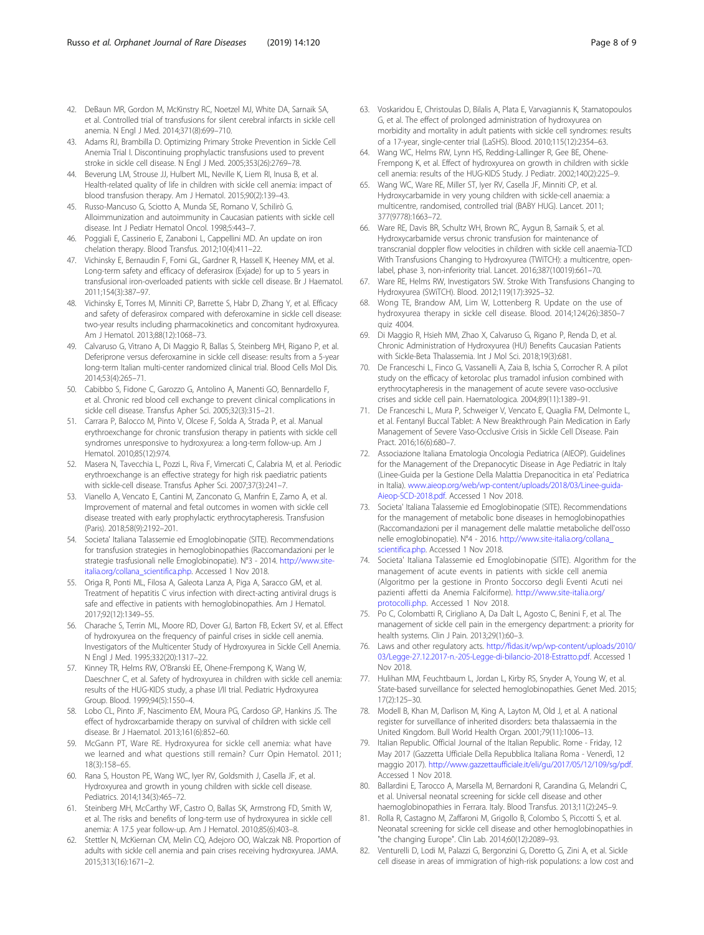- <span id="page-7-0"></span>42. DeBaun MR, Gordon M, McKinstry RC, Noetzel MJ, White DA, Sarnaik SA, et al. Controlled trial of transfusions for silent cerebral infarcts in sickle cell anemia. N Engl J Med. 2014;371(8):699–710.
- 43. Adams RJ, Brambilla D. Optimizing Primary Stroke Prevention in Sickle Cell Anemia Trial I. Discontinuing prophylactic transfusions used to prevent stroke in sickle cell disease. N Engl J Med. 2005;353(26):2769–78.
- 44. Beverung LM, Strouse JJ, Hulbert ML, Neville K, Liem RI, Inusa B, et al. Health-related quality of life in children with sickle cell anemia: impact of blood transfusion therapy. Am J Hematol. 2015;90(2):139–43.
- 45. Russo-Mancuso G, Sciotto A, Munda SE, Romano V, Schilirò G. Alloimmunization and autoimmunity in Caucasian patients with sickle cell disease. Int J Pediatr Hematol Oncol. 1998;5:443–7.
- 46. Poggiali E, Cassinerio E, Zanaboni L, Cappellini MD. An update on iron chelation therapy. Blood Transfus. 2012;10(4):411–22.
- 47. Vichinsky E, Bernaudin F, Forni GL, Gardner R, Hassell K, Heeney MM, et al. Long-term safety and efficacy of deferasirox (Exjade) for up to 5 years in transfusional iron-overloaded patients with sickle cell disease. Br J Haematol. 2011;154(3):387–97.
- 48. Vichinsky E, Torres M, Minniti CP, Barrette S, Habr D, Zhang Y, et al. Efficacy and safety of deferasirox compared with deferoxamine in sickle cell disease: two-year results including pharmacokinetics and concomitant hydroxyurea. Am J Hematol. 2013;88(12):1068–73.
- 49. Calvaruso G, Vitrano A, Di Maggio R, Ballas S, Steinberg MH, Rigano P, et al. Deferiprone versus deferoxamine in sickle cell disease: results from a 5-year long-term Italian multi-center randomized clinical trial. Blood Cells Mol Dis. 2014;53(4):265–71.
- 50. Cabibbo S, Fidone C, Garozzo G, Antolino A, Manenti GO, Bennardello F, et al. Chronic red blood cell exchange to prevent clinical complications in sickle cell disease. Transfus Apher Sci. 2005;32(3):315–21.
- 51. Carrara P, Balocco M, Pinto V, Olcese F, Solda A, Strada P, et al. Manual erythroexchange for chronic transfusion therapy in patients with sickle cell syndromes unresponsive to hydroxyurea: a long-term follow-up. Am J Hematol. 2010;85(12):974.
- 52. Masera N, Tavecchia L, Pozzi L, Riva F, Vimercati C, Calabria M, et al. Periodic erythroexchange is an effective strategy for high risk paediatric patients with sickle-cell disease. Transfus Apher Sci. 2007;37(3):241–7.
- 53. Vianello A, Vencato E, Cantini M, Zanconato G, Manfrin E, Zamo A, et al. Improvement of maternal and fetal outcomes in women with sickle cell disease treated with early prophylactic erythrocytapheresis. Transfusion (Paris). 2018;58(9):2192–201.
- 54. Societa' Italiana Talassemie ed Emoglobinopatie (SITE). Recommendations for transfusion strategies in hemoglobinopathies (Raccomandazioni per le strategie trasfusionali nelle Emoglobinopatie). N°3 - 2014. [http://www.site](http://www.site-italia.org/collana_scientifica.php)[italia.org/collana\\_scientifica.php.](http://www.site-italia.org/collana_scientifica.php) Accessed 1 Nov 2018.
- 55. Origa R, Ponti ML, Filosa A, Galeota Lanza A, Piga A, Saracco GM, et al. Treatment of hepatitis C virus infection with direct-acting antiviral drugs is safe and effective in patients with hemoglobinopathies. Am J Hematol. 2017;92(12):1349–55.
- 56. Charache S, Terrin ML, Moore RD, Dover GJ, Barton FB, Eckert SV, et al. Effect of hydroxyurea on the frequency of painful crises in sickle cell anemia. Investigators of the Multicenter Study of Hydroxyurea in Sickle Cell Anemia. N Engl J Med. 1995;332(20):1317–22.
- 57. Kinney TR, Helms RW, O'Branski EE, Ohene-Frempong K, Wang W, Daeschner C, et al. Safety of hydroxyurea in children with sickle cell anemia: results of the HUG-KIDS study, a phase I/II trial. Pediatric Hydroxyurea Group. Blood. 1999;94(5):1550–4.
- 58. Lobo CL, Pinto JF, Nascimento EM, Moura PG, Cardoso GP, Hankins JS. The effect of hydroxcarbamide therapy on survival of children with sickle cell disease. Br J Haematol. 2013;161(6):852–60.
- 59. McGann PT, Ware RE. Hydroxyurea for sickle cell anemia: what have we learned and what questions still remain? Curr Opin Hematol. 2011; 18(3):158–65.
- 60. Rana S, Houston PE, Wang WC, Iyer RV, Goldsmith J, Casella JF, et al. Hydroxyurea and growth in young children with sickle cell disease. Pediatrics. 2014;134(3):465–72.
- 61. Steinberg MH, McCarthy WF, Castro O, Ballas SK, Armstrong FD, Smith W, et al. The risks and benefits of long-term use of hydroxyurea in sickle cell anemia: A 17.5 year follow-up. Am J Hematol. 2010;85(6):403–8.
- 62. Stettler N, McKiernan CM, Melin CQ, Adejoro OO, Walczak NB. Proportion of adults with sickle cell anemia and pain crises receiving hydroxyurea. JAMA. 2015;313(16):1671–2.
- 63. Voskaridou E, Christoulas D, Bilalis A, Plata E, Varvagiannis K, Stamatopoulos G, et al. The effect of prolonged administration of hydroxyurea on morbidity and mortality in adult patients with sickle cell syndromes: results of a 17-year, single-center trial (LaSHS). Blood. 2010;115(12):2354–63.
- 64. Wang WC, Helms RW, Lynn HS, Redding-Lallinger R, Gee BE, Ohene-Frempong K, et al. Effect of hydroxyurea on growth in children with sickle cell anemia: results of the HUG-KIDS Study. J Pediatr. 2002;140(2):225–9.
- 65. Wang WC, Ware RE, Miller ST, Iyer RV, Casella JF, Minniti CP, et al. Hydroxycarbamide in very young children with sickle-cell anaemia: a multicentre, randomised, controlled trial (BABY HUG). Lancet. 2011; 377(9778):1663–72.
- 66. Ware RE, Davis BR, Schultz WH, Brown RC, Aygun B, Sarnaik S, et al. Hydroxycarbamide versus chronic transfusion for maintenance of transcranial doppler flow velocities in children with sickle cell anaemia-TCD With Transfusions Changing to Hydroxyurea (TWiTCH): a multicentre, openlabel, phase 3, non-inferiority trial. Lancet. 2016;387(10019):661–70.
- 67. Ware RE, Helms RW, Investigators SW. Stroke With Transfusions Changing to Hydroxyurea (SWiTCH). Blood. 2012;119(17):3925–32.
- 68. Wong TE, Brandow AM, Lim W, Lottenberg R. Update on the use of hydroxyurea therapy in sickle cell disease. Blood. 2014;124(26):3850–7 quiz 4004.
- 69. Di Maggio R, Hsieh MM, Zhao X, Calvaruso G, Rigano P, Renda D, et al. Chronic Administration of Hydroxyurea (HU) Benefits Caucasian Patients with Sickle-Beta Thalassemia. Int J Mol Sci. 2018;19(3):681.
- 70. De Franceschi L, Finco G, Vassanelli A, Zaia B, Ischia S, Corrocher R. A pilot study on the efficacy of ketorolac plus tramadol infusion combined with erythrocytapheresis in the management of acute severe vaso-occlusive crises and sickle cell pain. Haematologica. 2004;89(11):1389–91.
- 71. De Franceschi L, Mura P, Schweiger V, Vencato E, Quaglia FM, Delmonte L, et al. Fentanyl Buccal Tablet: A New Breakthrough Pain Medication in Early Management of Severe Vaso-Occlusive Crisis in Sickle Cell Disease. Pain Pract. 2016;16(6):680–7.
- 72. Associazione Italiana Ematologia Oncologia Pediatrica (AIEOP). Guidelines for the Management of the Drepanocytic Disease in Age Pediatric in Italy (Linee-Guida per la Gestione Della Malattia Drepanocitica in eta' Pediatrica in Italia). [www.aieop.org/web/wp-content/uploads/2018/03/Linee-guida-](http://www.aieop.org/web/wp-content/uploads/2018/03/Linee-guida-Aieop-SCD-2018.pdf)[Aieop-SCD-2018.pdf.](http://www.aieop.org/web/wp-content/uploads/2018/03/Linee-guida-Aieop-SCD-2018.pdf) Accessed 1 Nov 2018.
- 73. Societa' Italiana Talassemie ed Emoglobinopatie (SITE). Recommendations for the management of metabolic bone diseases in hemoglobinopathies (Raccomandazioni per il management delle malattie metaboliche dell'osso nelle emoglobinopatie). N°4 - 2016. [http://www.site-italia.org/collana\\_](http://www.site-italia.org/collana_scientifica.php) [scientifica.php](http://www.site-italia.org/collana_scientifica.php). Accessed 1 Nov 2018.
- 74. Societa' Italiana Talassemie ed Emoglobinopatie (SITE). Algorithm for the management of acute events in patients with sickle cell anemia (Algoritmo per la gestione in Pronto Soccorso degli Eventi Acuti nei pazienti affetti da Anemia Falciforme). [http://www.site-italia.org/](http://www.site-italia.org/protocolli.php) [protocolli.php.](http://www.site-italia.org/protocolli.php) Accessed 1 Nov 2018.
- 75. Po C, Colombatti R, Cirigliano A, Da Dalt L, Agosto C, Benini F, et al. The management of sickle cell pain in the emergency department: a priority for health systems. Clin J Pain. 2013;29(1):60–3.
- 76. Laws and other regulatory acts. [http://fidas.it/wp/wp-content/uploads/2010/](http://fidas.it/wp/wp-content/uploads/2010/03/Legge-27.12.2017-n.-205-Legge-di-bilancio-2018-Estratto.pdf) [03/Legge-27.12.2017-n.-205-Legge-di-bilancio-2018-Estratto.pdf](http://fidas.it/wp/wp-content/uploads/2010/03/Legge-27.12.2017-n.-205-Legge-di-bilancio-2018-Estratto.pdf). Accessed 1 Nov 2018.
- 77. Hulihan MM, Feuchtbaum L, Jordan L, Kirby RS, Snyder A, Young W, et al. State-based surveillance for selected hemoglobinopathies. Genet Med. 2015; 17(2):125–30.
- 78. Modell B, Khan M, Darlison M, King A, Layton M, Old J, et al. A national register for surveillance of inherited disorders: beta thalassaemia in the United Kingdom. Bull World Health Organ. 2001;79(11):1006–13.
- 79. Italian Republic. Official Journal of the Italian Republic. Rome Friday, 12 May 2017 (Gazzetta Ufficiale Della Repubblica Italiana Roma - Venerdì, 12 maggio 2017). <http://www.gazzettaufficiale.it/eli/gu/2017/05/12/109/sg/pdf>. Accessed 1 Nov 2018.
- 80. Ballardini E, Tarocco A, Marsella M, Bernardoni R, Carandina G, Melandri C, et al. Universal neonatal screening for sickle cell disease and other haemoglobinopathies in Ferrara. Italy. Blood Transfus. 2013;11(2):245–9.
- 81. Rolla R, Castagno M, Zaffaroni M, Grigollo B, Colombo S, Piccotti S, et al. Neonatal screening for sickle cell disease and other hemoglobinopathies in "the changing Europe". Clin Lab. 2014;60(12):2089–93.
- 82. Venturelli D, Lodi M, Palazzi G, Bergonzini G, Doretto G, Zini A, et al. Sickle cell disease in areas of immigration of high-risk populations: a low cost and